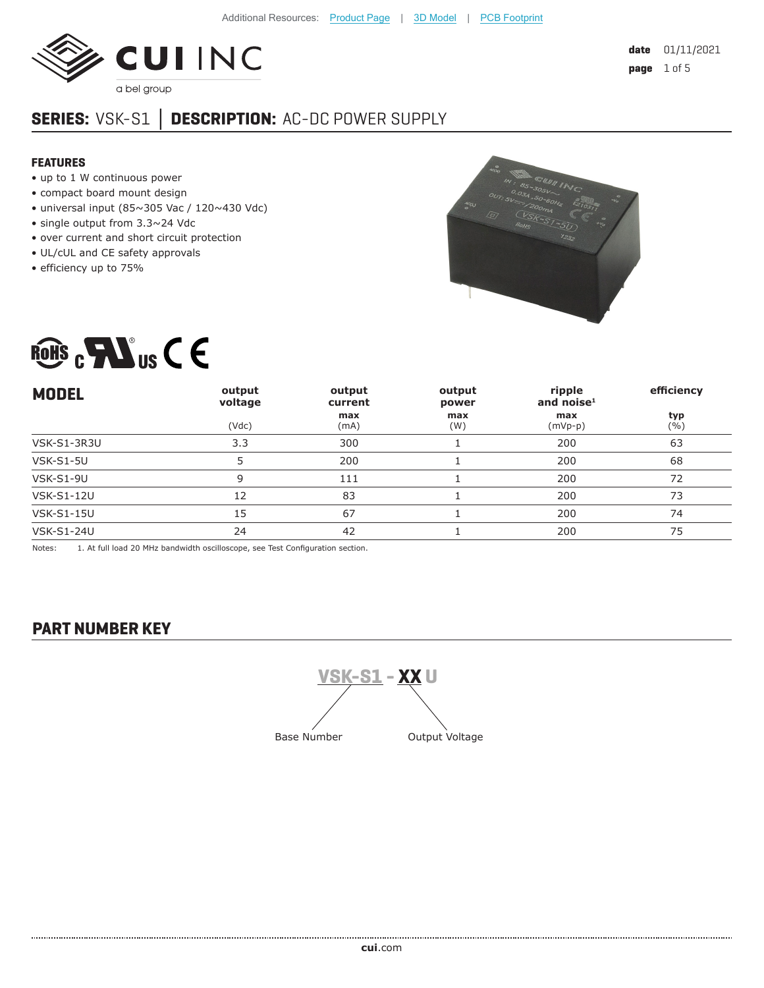

# **SERIES:** VSK-S1 **│ DESCRIPTION:** AC-DC POWER SUPPLY

#### **FEATURES**

- up to 1 W continuous power
- compact board mount design
- universal input (85~305 Vac /  $120~430$  Vdc)
- single output from 3.3~24 Vdc
- over current and short circuit protection
- UL/cUL and CE safety approvals
- efficiency up to 75%





| <b>MODEL</b>      | output<br>voltage | output<br>current | output<br>power | ripple<br>and noise $1$ | efficiency  |
|-------------------|-------------------|-------------------|-----------------|-------------------------|-------------|
|                   | (Vdc)             | max<br>(mA)       | max<br>(W)      | max<br>$(mVp-p)$        | typ<br>( %) |
| VSK-S1-3R3U       | 3.3               | 300               |                 | 200                     | 63          |
| <b>VSK-S1-5U</b>  |                   | 200               |                 | 200                     | 68          |
| <b>VSK-S1-9U</b>  | 9                 | 111               |                 | 200                     | 72          |
| <b>VSK-S1-12U</b> | 12                | 83                |                 | 200                     | 73          |
| <b>VSK-S1-15U</b> | 15                | 67                |                 | 200                     | 74          |
| <b>VSK-S1-24U</b> | 24                | 42                |                 | 200                     | 75          |

Notes: 1. At full load 20 MHz bandwidth oscilloscope, see Test Configuration section.

### **PART NUMBER KEY**

**VSK-S1 - XX U** Base Number **Output Voltage**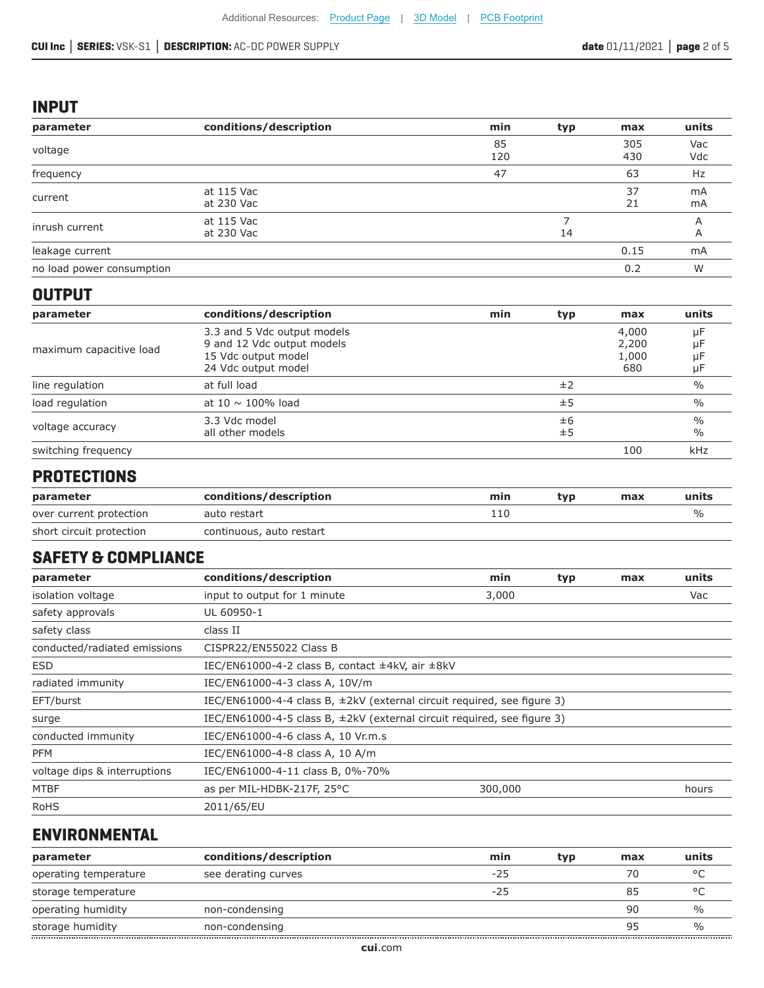#### **CUI Inc │ SERIES:** VSK-S1 **│ DESCRIPTION:** AC-DC POWER SUPPLY **date** 01/11/2021 **│ page** 2 of 5

#### **INPUT**

| parameter                 | conditions/description   | min       | typ | max        | units      |
|---------------------------|--------------------------|-----------|-----|------------|------------|
| voltage                   |                          | 85<br>120 |     | 305<br>430 | Vac<br>Vdc |
| frequency                 |                          | 47        |     | 63         | Hz         |
| current                   | at 115 Vac<br>at 230 Vac |           |     | 37<br>21   | mA<br>mA   |
| inrush current            | at 115 Vac<br>at 230 Vac |           | 14  |            |            |
| leakage current           |                          |           |     | 0.15       | mA         |
| no load power consumption |                          |           |     | 0.2        | W          |

#### **OUTPUT**

| parameter               | conditions/description                                                                                  | min | typ      | max                            | units                 |
|-------------------------|---------------------------------------------------------------------------------------------------------|-----|----------|--------------------------------|-----------------------|
| maximum capacitive load | 3.3 and 5 Vdc output models<br>9 and 12 Vdc output models<br>15 Vdc output model<br>24 Vdc output model |     |          | 4,000<br>2,200<br>1,000<br>680 | μF<br>μF<br>μF<br>μF  |
| line regulation         | at full load                                                                                            |     | ±2       |                                | $\frac{0}{0}$         |
| load regulation         | at 10 $\sim$ 100% load                                                                                  |     | ±5       |                                | $\%$                  |
| voltage accuracy        | 3.3 Vdc model<br>all other models                                                                       |     | ±6<br>±5 |                                | $\frac{0}{0}$<br>$\%$ |
| switching frequency     |                                                                                                         |     |          | 100                            | kHz                   |

# **PROTECTIONS**

| parameter                | conditions/description   | mın | tvo | max | units |
|--------------------------|--------------------------|-----|-----|-----|-------|
| over current protection  | auto restart             | 110 |     |     | %     |
| short circuit protection | continuous, auto restart |     |     |     |       |

### **SAFETY & COMPLIANCE**

| parameter                    | conditions/description                                                       | min     | typ | max | units |
|------------------------------|------------------------------------------------------------------------------|---------|-----|-----|-------|
| isolation voltage            | input to output for 1 minute                                                 |         | Vac |     |       |
| safety approvals             | UL 60950-1                                                                   |         |     |     |       |
| safety class                 | class II                                                                     |         |     |     |       |
| conducted/radiated emissions | CISPR22/EN55022 Class B                                                      |         |     |     |       |
| <b>ESD</b>                   | IEC/EN61000-4-2 class B, contact $\pm$ 4kV, air $\pm$ 8kV                    |         |     |     |       |
| radiated immunity            | IEC/EN61000-4-3 class A, 10V/m                                               |         |     |     |       |
| EFT/burst                    | IEC/EN61000-4-4 class B, $\pm$ 2kV (external circuit required, see figure 3) |         |     |     |       |
| surge                        | IEC/EN61000-4-5 class B, $\pm$ 2kV (external circuit required, see figure 3) |         |     |     |       |
| conducted immunity           | IEC/EN61000-4-6 class A, 10 Vr.m.s                                           |         |     |     |       |
| <b>PFM</b>                   | IEC/EN61000-4-8 class A, 10 A/m                                              |         |     |     |       |
| voltage dips & interruptions | IEC/EN61000-4-11 class B, 0%-70%                                             |         |     |     |       |
| <b>MTBF</b>                  | as per MIL-HDBK-217F, 25°C                                                   | 300,000 |     |     | hours |
| <b>RoHS</b>                  | 2011/65/EU                                                                   |         |     |     |       |

# **ENVIRONMENTAL**

| parameter             | conditions/description | min   | typ | max | units   |
|-----------------------|------------------------|-------|-----|-----|---------|
| operating temperature | see derating curves    | $-25$ |     | 70  | $\circ$ |
| storage temperature   |                        | $-25$ |     | 85  | $\circ$ |
| operating humidity    | non-condensing         |       |     | 90  |         |
| storage humidity      | non-condensing         |       |     | 95  |         |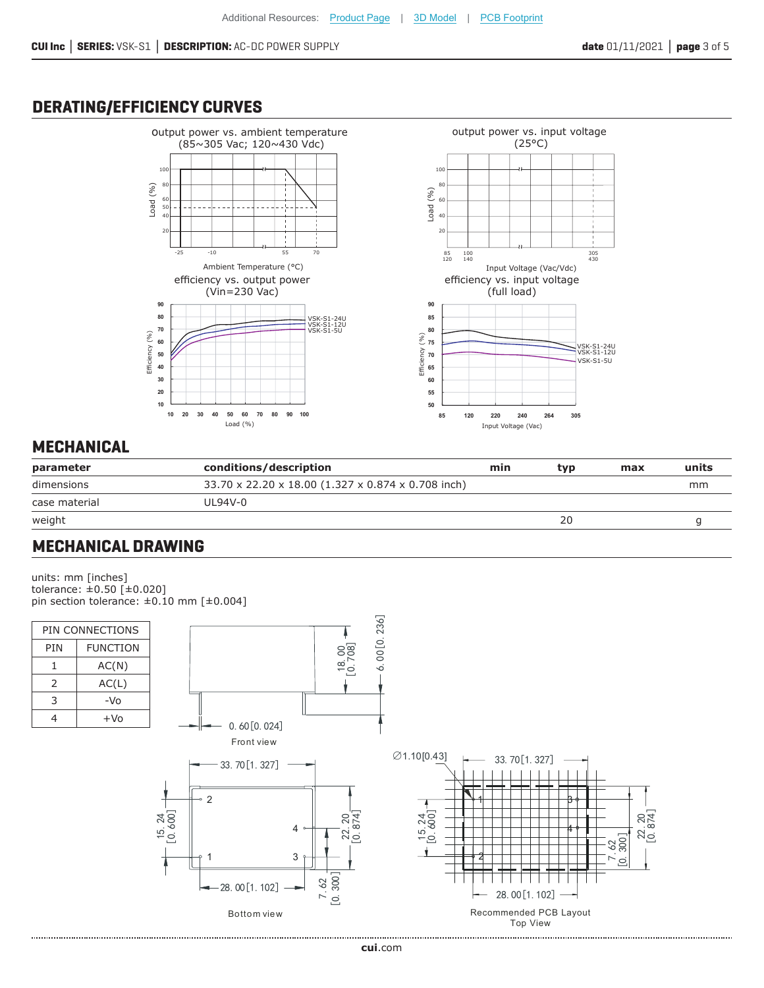# **DERATING/EFFICIENCY CURVES**





# **MECHANICAL**

| parameter     | conditions/description                             | min | tvp | max | units |
|---------------|----------------------------------------------------|-----|-----|-----|-------|
| dimensions    | 33.70 x 22.20 x 18.00 (1.327 x 0.874 x 0.708 inch) |     |     |     | mm    |
| case material | UI 94V-0                                           |     |     |     |       |
| weight        |                                                    |     | 20  |     |       |

# **MECHANICAL DRAWING**

units: mm [inches] tolerance: ±0.50 [±0.020] pin section tolerance: ±0.10 mm [±0.004]

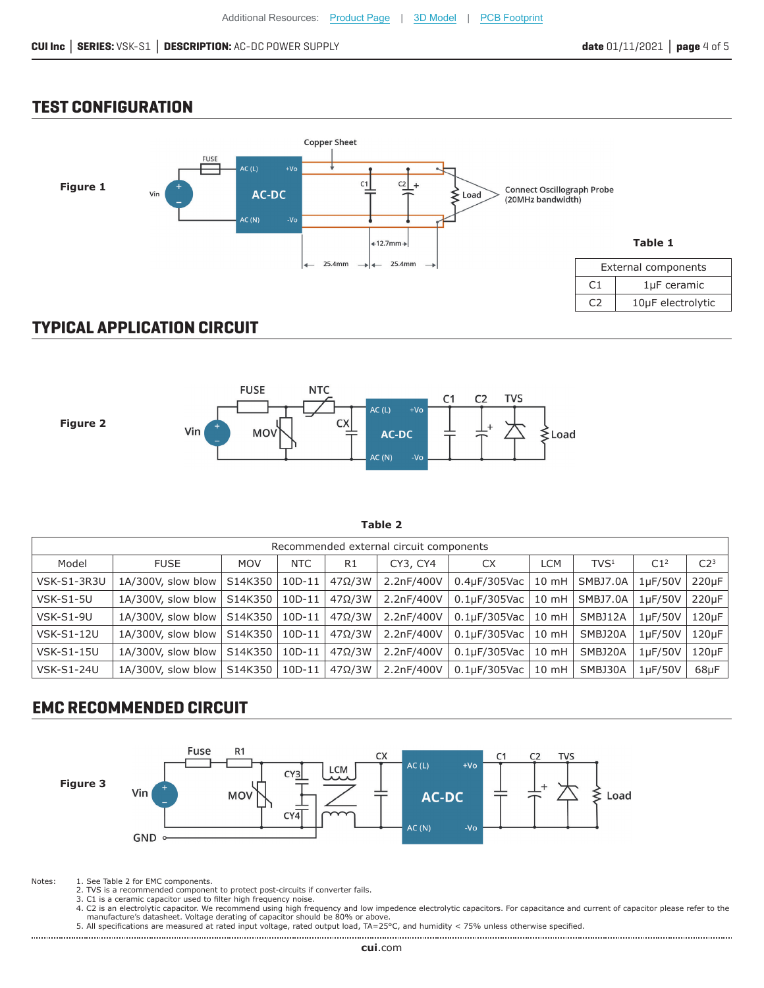#### **TEST CONFIGURATION**



# **TYPICAL APPLICATION CIRCUIT**



**Table 2**

| Recommended external circuit components |                    |            |            |               |            |                     |                 |                  |                      |                 |
|-----------------------------------------|--------------------|------------|------------|---------------|------------|---------------------|-----------------|------------------|----------------------|-----------------|
| Model                                   | <b>FUSE</b>        | <b>MOV</b> | <b>NTC</b> | R1            | CY3, CY4   | <b>CX</b>           | <b>LCM</b>      | TVS <sup>1</sup> | C1 <sup>2</sup>      | C2 <sup>3</sup> |
| VSK-S1-3R3U                             | 1A/300V, slow blow | S14K350    | $10D-11$   | $47\Omega/3W$ | 2.2nF/400V | $0.4\mu F/305$ Vac  | $10 \text{ mH}$ | SMBJ7.0A         | $1\mu$ F/50V         | $220\mu F$      |
| <b>VSK-S1-5U</b>                        | 1A/300V, slow blow | S14K350    | $10D-11$   | $47\Omega/3W$ | 2.2nF/400V | 0.1uF/305Vac        | $10 \text{ mH}$ | SMBJ7.0A         | 1 <sub>U</sub> F/50V | 220uF           |
| VSK-S1-9U                               | 1A/300V, slow blow | S14K350    | $10D-11$   | $47\Omega/3W$ | 2.2nF/400V | 0.1uF/305Vac        | $10 \text{ mH}$ | SMBJ12A          | 1uF/50V              | $120\mu F$      |
| <b>VSK-S1-12U</b>                       | 1A/300V, slow blow | S14K350    | $10D-11$   | $47\Omega/3W$ | 2.2nF/400V | $0.1$ u $F/305$ Vac | $10 \text{ mH}$ | SMBJ20A          | $1\mu$ F/50V         | $120\mu F$      |
| <b>VSK-S1-15U</b>                       | 1A/300V, slow blow | S14K350    | $10D-11$   | $47\Omega/3W$ | 2.2nF/400V | $0.1\mu F/305$ Vac  | $10 \text{ mH}$ | SMBJ20A          | $1\mu$ F/50V         | $120\mu F$      |
| <b>VSK-S1-24U</b>                       | 1A/300V, slow blow | S14K350    | $10D-11$   | $47\Omega/3W$ | 2.2nF/400V | $0.1$ u $F/305$ Vac | $10 \text{ mH}$ | SMBJ30A          | $1\mu$ F/50V         | $68\mu F$       |

# **EMC RECOMMENDED CIRCUIT**



Notes: 1. See Table 2 for EMC components.

- 2. TVS is a recommended component to protect post-circuits if converter fails. 3. C1 is a ceramic capacitor used to filter high frequency noise.
- 
- 4. C2 is an electrolytic capacitor. We recommend using high frequency and low impedence electrolytic capacitors. For capacitance and current of capacitor please refer to the manufacture's datasheet. Voltage derating of capacitor should be 80% or above.
- 5. All specifications are measured at rated input voltage, rated output load, TA=25°C, and humidity < 75% unless otherwise specified.